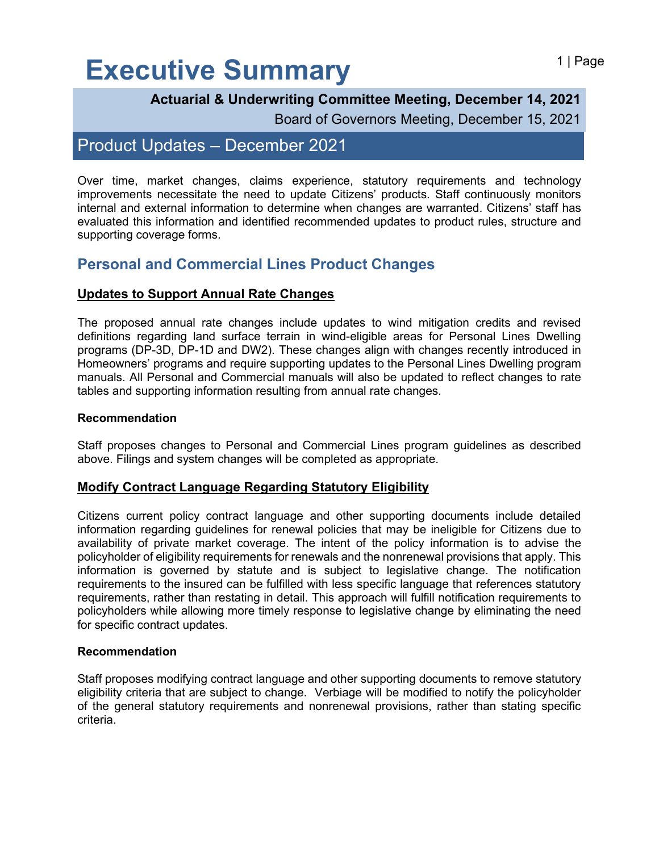## Executive Summary **Executive Summary**

Board of Governors Meeting, December 15, 2021

## Product Updates – December 2021

Over time, market changes, claims experience, statutory requirements and technology improvements necessitate the need to update Citizens' products. Staff continuously monitors internal and external information to determine when changes are warranted. Citizens' staff has evaluated this information and identified recommended updates to product rules, structure and supporting coverage forms.

### **Personal and Commercial Lines Product Changes**

#### **Updates to Support Annual Rate Changes**

The proposed annual rate changes include updates to wind mitigation credits and revised definitions regarding land surface terrain in wind-eligible areas for Personal Lines Dwelling programs (DP-3D, DP-1D and DW2). These changes align with changes recently introduced in Homeowners' programs and require supporting updates to the Personal Lines Dwelling program manuals. All Personal and Commercial manuals will also be updated to reflect changes to rate tables and supporting information resulting from annual rate changes.

#### **Recommendation**

Staff proposes changes to Personal and Commercial Lines program guidelines as described above. Filings and system changes will be completed as appropriate.

#### **Modify Contract Language Regarding Statutory Eligibility**

Citizens current policy contract language and other supporting documents include detailed information regarding guidelines for renewal policies that may be ineligible for Citizens due to availability of private market coverage. The intent of the policy information is to advise the policyholder of eligibility requirements for renewals and the nonrenewal provisions that apply. This information is governed by statute and is subject to legislative change. The notification requirements to the insured can be fulfilled with less specific language that references statutory requirements, rather than restating in detail. This approach will fulfill notification requirements to policyholders while allowing more timely response to legislative change by eliminating the need for specific contract updates.

#### **Recommendation**

Staff proposes modifying contract language and other supporting documents to remove statutory eligibility criteria that are subject to change. Verbiage will be modified to notify the policyholder of the general statutory requirements and nonrenewal provisions, rather than stating specific criteria.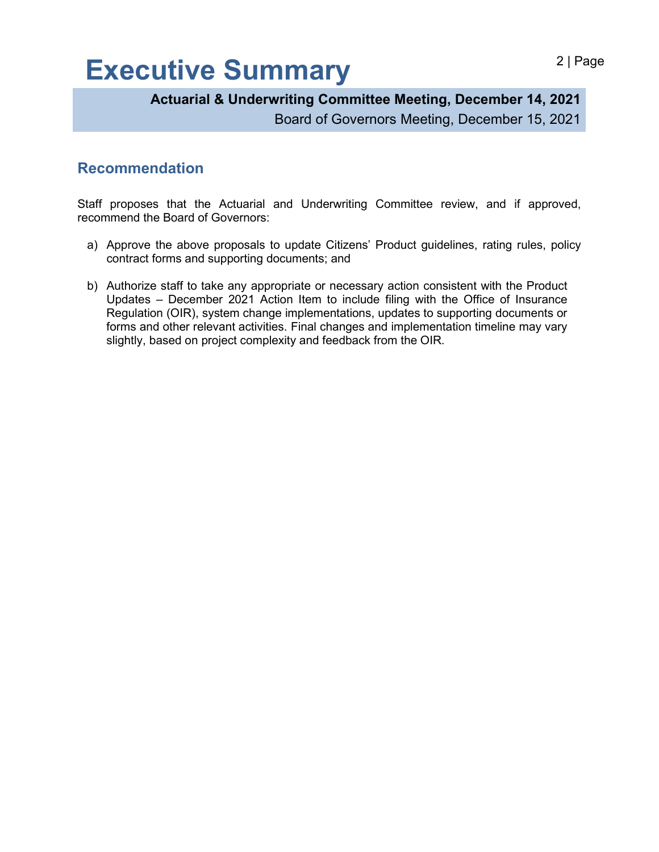# Executive Summary **Executive Summary**

**Actuarial & Underwriting Committee Meeting, December 14, 2021**

Board of Governors Meeting, December 15, 2021

### **Recommendation**

Staff proposes that the Actuarial and Underwriting Committee review, and if approved, recommend the Board of Governors:

- a) Approve the above proposals to update Citizens' Product guidelines, rating rules, policy contract forms and supporting documents; and
- b) Authorize staff to take any appropriate or necessary action consistent with the Product Updates – December 2021 Action Item to include filing with the Office of Insurance Regulation (OIR), system change implementations, updates to supporting documents or forms and other relevant activities. Final changes and implementation timeline may vary slightly, based on project complexity and feedback from the OIR.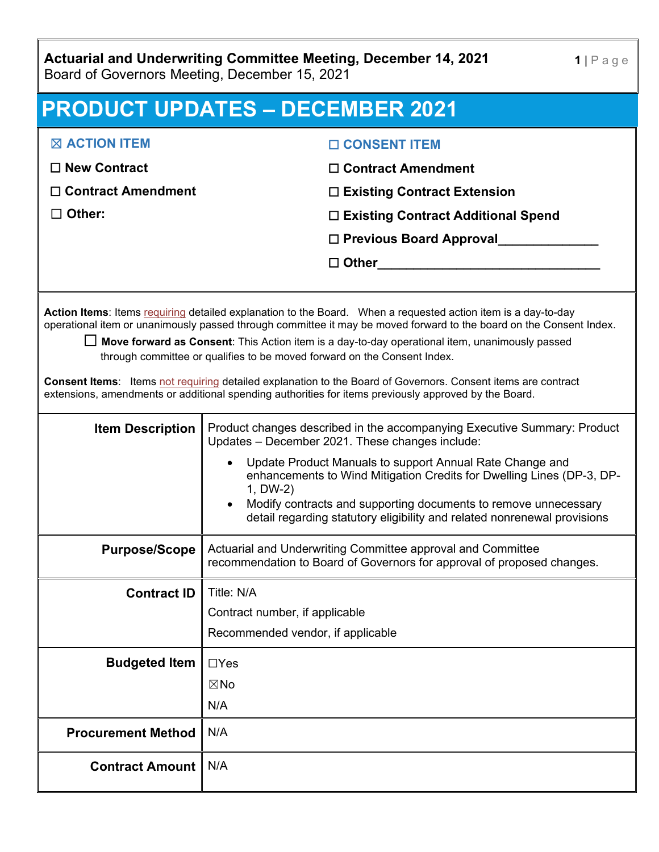**Actuarial and Underwriting Committee Meeting, December 14, 2021** Board of Governors Meeting, December 15, 2021

| <b>PRODUCT UPDATES - DECEMBER 2021</b>                                                                                                                                                                                                                                                                                                                                                                                                                                                                                                                                                                                                              |                                                                                                                                                                                                                                                                                                                                                                                                                             |  |
|-----------------------------------------------------------------------------------------------------------------------------------------------------------------------------------------------------------------------------------------------------------------------------------------------------------------------------------------------------------------------------------------------------------------------------------------------------------------------------------------------------------------------------------------------------------------------------------------------------------------------------------------------------|-----------------------------------------------------------------------------------------------------------------------------------------------------------------------------------------------------------------------------------------------------------------------------------------------------------------------------------------------------------------------------------------------------------------------------|--|
| <b>X ACTION ITEM</b>                                                                                                                                                                                                                                                                                                                                                                                                                                                                                                                                                                                                                                | □ CONSENT ITEM                                                                                                                                                                                                                                                                                                                                                                                                              |  |
| $\Box$ New Contract                                                                                                                                                                                                                                                                                                                                                                                                                                                                                                                                                                                                                                 | $\Box$ Contract Amendment                                                                                                                                                                                                                                                                                                                                                                                                   |  |
| $\Box$ Contract Amendment                                                                                                                                                                                                                                                                                                                                                                                                                                                                                                                                                                                                                           | $\Box$ Existing Contract Extension                                                                                                                                                                                                                                                                                                                                                                                          |  |
| $\Box$ Other:                                                                                                                                                                                                                                                                                                                                                                                                                                                                                                                                                                                                                                       | □ Existing Contract Additional Spend                                                                                                                                                                                                                                                                                                                                                                                        |  |
|                                                                                                                                                                                                                                                                                                                                                                                                                                                                                                                                                                                                                                                     | □ Previous Board Approval_____________                                                                                                                                                                                                                                                                                                                                                                                      |  |
|                                                                                                                                                                                                                                                                                                                                                                                                                                                                                                                                                                                                                                                     | $\Box$ Other $\Box$                                                                                                                                                                                                                                                                                                                                                                                                         |  |
|                                                                                                                                                                                                                                                                                                                                                                                                                                                                                                                                                                                                                                                     |                                                                                                                                                                                                                                                                                                                                                                                                                             |  |
| Action Items: Items requiring detailed explanation to the Board. When a requested action item is a day-to-day<br>operational item or unanimously passed through committee it may be moved forward to the board on the Consent Index.<br>$\Box$ Move forward as Consent: This Action item is a day-to-day operational item, unanimously passed<br>through committee or qualifies to be moved forward on the Consent Index.<br>Consent Items: Items not requiring detailed explanation to the Board of Governors. Consent items are contract<br>extensions, amendments or additional spending authorities for items previously approved by the Board. |                                                                                                                                                                                                                                                                                                                                                                                                                             |  |
| <b>Item Description</b>                                                                                                                                                                                                                                                                                                                                                                                                                                                                                                                                                                                                                             | Product changes described in the accompanying Executive Summary: Product<br>Updates - December 2021. These changes include:<br>Update Product Manuals to support Annual Rate Change and<br>enhancements to Wind Mitigation Credits for Dwelling Lines (DP-3, DP-<br>1, DW-2)<br>Modify contracts and supporting documents to remove unnecessary<br>detail regarding statutory eligibility and related nonrenewal provisions |  |
| <b>Purpose/Scope</b>                                                                                                                                                                                                                                                                                                                                                                                                                                                                                                                                                                                                                                | Actuarial and Underwriting Committee approval and Committee<br>recommendation to Board of Governors for approval of proposed changes.                                                                                                                                                                                                                                                                                       |  |
| <b>Contract ID</b>                                                                                                                                                                                                                                                                                                                                                                                                                                                                                                                                                                                                                                  | Title: N/A<br>Contract number, if applicable<br>Recommended vendor, if applicable                                                                                                                                                                                                                                                                                                                                           |  |
| <b>Budgeted Item</b>                                                                                                                                                                                                                                                                                                                                                                                                                                                                                                                                                                                                                                | $\Box$ Yes<br>$\boxtimes$ No<br>N/A                                                                                                                                                                                                                                                                                                                                                                                         |  |
| <b>Procurement Method</b>                                                                                                                                                                                                                                                                                                                                                                                                                                                                                                                                                                                                                           | N/A                                                                                                                                                                                                                                                                                                                                                                                                                         |  |
| <b>Contract Amount</b>                                                                                                                                                                                                                                                                                                                                                                                                                                                                                                                                                                                                                              | N/A                                                                                                                                                                                                                                                                                                                                                                                                                         |  |